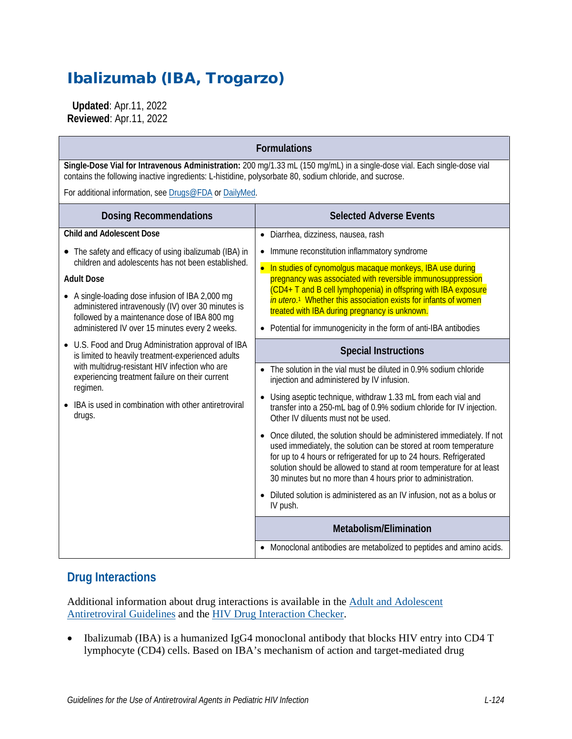# Ibalizumab (IBA, Trogarzo)

 **Updated**: Apr.11, 2022 **Reviewed**: Apr.11, 2022

| <b>Formulations</b>                                                                                                                                                                                                                                                                          |                                                                                                                                                                                                                                                                                                                                                         |
|----------------------------------------------------------------------------------------------------------------------------------------------------------------------------------------------------------------------------------------------------------------------------------------------|---------------------------------------------------------------------------------------------------------------------------------------------------------------------------------------------------------------------------------------------------------------------------------------------------------------------------------------------------------|
| Single-Dose Vial for Intravenous Administration: 200 mg/1.33 mL (150 mg/mL) in a single-dose vial. Each single-dose vial<br>contains the following inactive ingredients: L-histidine, polysorbate 80, sodium chloride, and sucrose.                                                          |                                                                                                                                                                                                                                                                                                                                                         |
| For additional information, see Drugs@FDA or DailyMed.                                                                                                                                                                                                                                       |                                                                                                                                                                                                                                                                                                                                                         |
| <b>Dosing Recommendations</b>                                                                                                                                                                                                                                                                | <b>Selected Adverse Events</b>                                                                                                                                                                                                                                                                                                                          |
| <b>Child and Adolescent Dose</b>                                                                                                                                                                                                                                                             | Diarrhea, dizziness, nausea, rash<br>$\bullet$                                                                                                                                                                                                                                                                                                          |
| • The safety and efficacy of using ibalizumab (IBA) in<br>children and adolescents has not been established.<br><b>Adult Dose</b>                                                                                                                                                            | Immune reconstitution inflammatory syndrome<br>$\bullet$                                                                                                                                                                                                                                                                                                |
|                                                                                                                                                                                                                                                                                              | In studies of cynomolgus macaque monkeys, IBA use during<br>pregnancy was associated with reversible immunosuppression                                                                                                                                                                                                                                  |
| • A single-loading dose infusion of IBA 2,000 mg<br>administered intravenously (IV) over 30 minutes is<br>followed by a maintenance dose of IBA 800 mg                                                                                                                                       | (CD4+ T and B cell lymphopenia) in offspring with IBA exposure<br>in utero. <sup>1</sup> Whether this association exists for infants of women<br>treated with IBA during pregnancy is unknown.                                                                                                                                                          |
| administered IV over 15 minutes every 2 weeks.                                                                                                                                                                                                                                               | Potential for immunogenicity in the form of anti-IBA antibodies                                                                                                                                                                                                                                                                                         |
| • U.S. Food and Drug Administration approval of IBA<br>is limited to heavily treatment-experienced adults<br>with multidrug-resistant HIV infection who are<br>experiencing treatment failure on their current<br>regimen.<br>IBA is used in combination with other antiretroviral<br>drugs. | <b>Special Instructions</b>                                                                                                                                                                                                                                                                                                                             |
|                                                                                                                                                                                                                                                                                              | • The solution in the vial must be diluted in 0.9% sodium chloride<br>injection and administered by IV infusion.                                                                                                                                                                                                                                        |
|                                                                                                                                                                                                                                                                                              | Using aseptic technique, withdraw 1.33 mL from each vial and<br>transfer into a 250-mL bag of 0.9% sodium chloride for IV injection.<br>Other IV diluents must not be used.                                                                                                                                                                             |
|                                                                                                                                                                                                                                                                                              | Once diluted, the solution should be administered immediately. If not<br>used immediately, the solution can be stored at room temperature<br>for up to 4 hours or refrigerated for up to 24 hours. Refrigerated<br>solution should be allowed to stand at room temperature for at least<br>30 minutes but no more than 4 hours prior to administration. |
|                                                                                                                                                                                                                                                                                              | Diluted solution is administered as an IV infusion, not as a bolus or<br>IV push.                                                                                                                                                                                                                                                                       |
|                                                                                                                                                                                                                                                                                              | Metabolism/Elimination                                                                                                                                                                                                                                                                                                                                  |
|                                                                                                                                                                                                                                                                                              | • Monoclonal antibodies are metabolized to peptides and amino acids.                                                                                                                                                                                                                                                                                    |

## **Drug Interactions**

Additional information about drug interactions is available in the [Adult and Adolescent](https://clinicalinfo.hiv.gov/en/guidelines/adult-and-adolescent-arv/whats-new-guidelines)  [Antiretroviral Guidelines](https://clinicalinfo.hiv.gov/en/guidelines/adult-and-adolescent-arv/whats-new-guidelines) and the [HIV Drug Interaction Checker.](http://www.hiv-druginteractions.org/)

• Ibalizumab (IBA) is a humanized IgG4 monoclonal antibody that blocks HIV entry into CD4 T lymphocyte (CD4) cells. Based on IBA's mechanism of action and target-mediated drug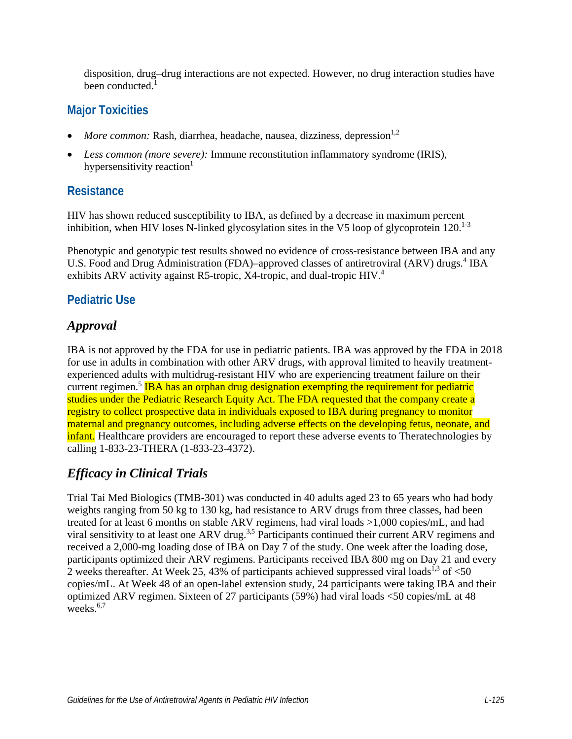disposition, drug–drug interactions are not expected. However, no drug interaction studies have been conducte[d.](#page-3-0)<sup>1</sup>

## **Major Toxicities**

- *More common:* Rash, diarrhea, headache, nausea, dizziness, depression $1,2$  $1,2$
- *Less common (more severe):* Immune reconstitution inflammatory syndrome (IRIS), hypersensitivity reaction<sup>1</sup>

## **Resistance**

HIV has shown reduced susceptibility to IBA, as defined by a decrease in maximum percent inhibition, when HIV loses N-linked glycosylation sites in the V5 loop of glycoprotein  $120$ <sup>1-3</sup>

Phenotypic and genotypic test results showed no evidence of cross-resistance between IBA and any U.S. Food and Drug Administration (FDA)–approved classes of antiretroviral (ARV) drugs.<sup>4</sup> IBA exhibits ARV activity against R5-tropic, X4-tropic, and dual-tropic HIV.<sup>4</sup>

# **Pediatric Use**

# *Approval*

IBA is not approved by the FDA for use in pediatric patients. IBA was approved by the FDA in 2018 for use in adults in combination with other ARV drugs, with approval limited to heavily treatmentexperienced adults with multidrug-resistant HIV who are experiencing treatment failure on their current regimen.<sup>[5](#page-3-3)</sup> IBA has an orphan drug designation exempting the requirement for pediatric studies under the Pediatric Research Equity Act. The FDA requested that the company create a registry to collect prospective data in individuals exposed to IBA during pregnancy to monitor maternal and pregnancy outcomes, including adverse effects on the developing fetus, neonate, and infant. Healthcare providers are encouraged to report these adverse events to Theratechnologies by calling 1-833-23-THERA (1-833-23-4372).

# *Efficacy in Clinical Trials*

Trial Tai Med Biologics (TMB-301) was conducted in 40 adults aged 23 to 65 years who had body weights ranging from 50 kg to 130 kg, had resistance to ARV drugs from three classes, had been treated for at least 6 months on stable ARV regimens, had viral loads >1,000 copies/mL, and had viral sensitivity to at least one ARV drug.<sup>[3,](#page-3-4)[5](#page-3-3)</sup> Participants continued their current ARV regimens and received a 2,000-mg loading dose of IBA on Day 7 of the study. One week after the loading dose, participants optimized their ARV regimens. Participants received IBA 800 mg on Day 21 and every 2 weeks thereafter. At Week 25, 4[3](#page-3-4)% of participants achieved suppressed viral loads<sup>1,3</sup> of  $<50$ copies/mL. At Week 48 of an open-label extension study, 24 participants were taking IBA and their optimized ARV regimen. Sixteen of 27 participants (59%) had viral loads <50 copies/mL at 48 weeks. $6,7$  $6,7$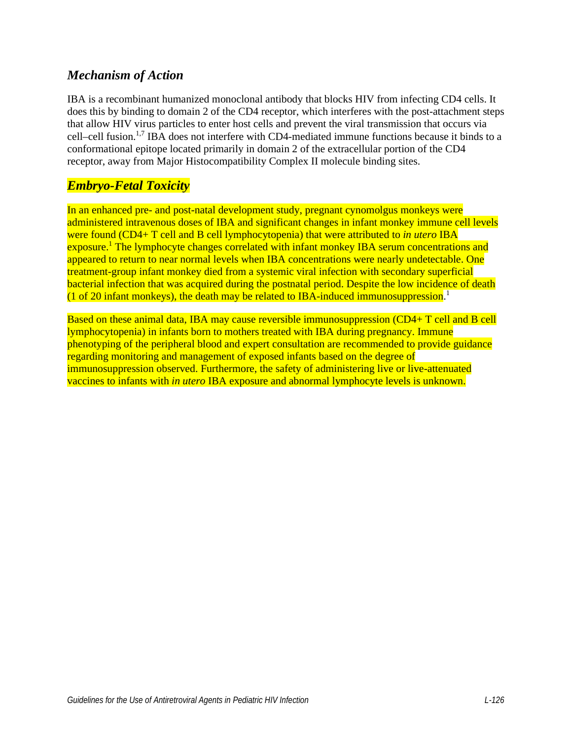#### *Mechanism of Action*

IBA is a recombinant humanized monoclonal antibody that blocks HIV from infecting CD4 cells. It does this by binding to domain 2 of the CD4 receptor, which interferes with the post-attachment steps that allow HIV virus particles to enter host cells and prevent the viral transmission that occurs via cell–cell fusion.<sup>[1](#page-3-0)[,7](#page-3-6)</sup> IBA does not interfere with CD4-mediated immune functions because it binds to a conformational epitope located primarily in domain 2 of the extracellular portion of the CD4 receptor, away from Major Histocompatibility Complex II molecule binding sites.

#### *Embryo-Fetal Toxicity*

In an enhanced pre- and post-natal development study, pregnant cynomolgus monkeys were administered intravenous doses of IBA and significant changes in infant monkey immune cell levels were found (CD4+ T cell and B cell lymphocytopenia) that were attributed to *in utero* IBA exposure.<sup>1</sup> The lymphocyte changes correlated with infant monkey IBA serum concentrations and appeared to return to near normal levels when IBA concentrations were nearly undetectable. One treatment-group infant monkey died from a systemic viral infection with secondary superficial bacterial infection that was acquired during the postnatal period. Despite the low incidence of death (1 of 20 infant monkeys), the death may be related to IBA-induced immunosuppression[.](#page-3-0)<sup>1</sup>

Based on these animal data, IBA may cause reversible immunosuppression (CD4+ T cell and B cell lymphocytopenia) in infants born to mothers treated with IBA during pregnancy. Immune phenotyping of the peripheral blood and expert consultation are recommended to provide guidance regarding monitoring and management of exposed infants based on the degree of immunosuppression observed. Furthermore, the safety of administering live or live-attenuated vaccines to infants with *in utero* IBA exposure and abnormal lymphocyte levels is unknown.